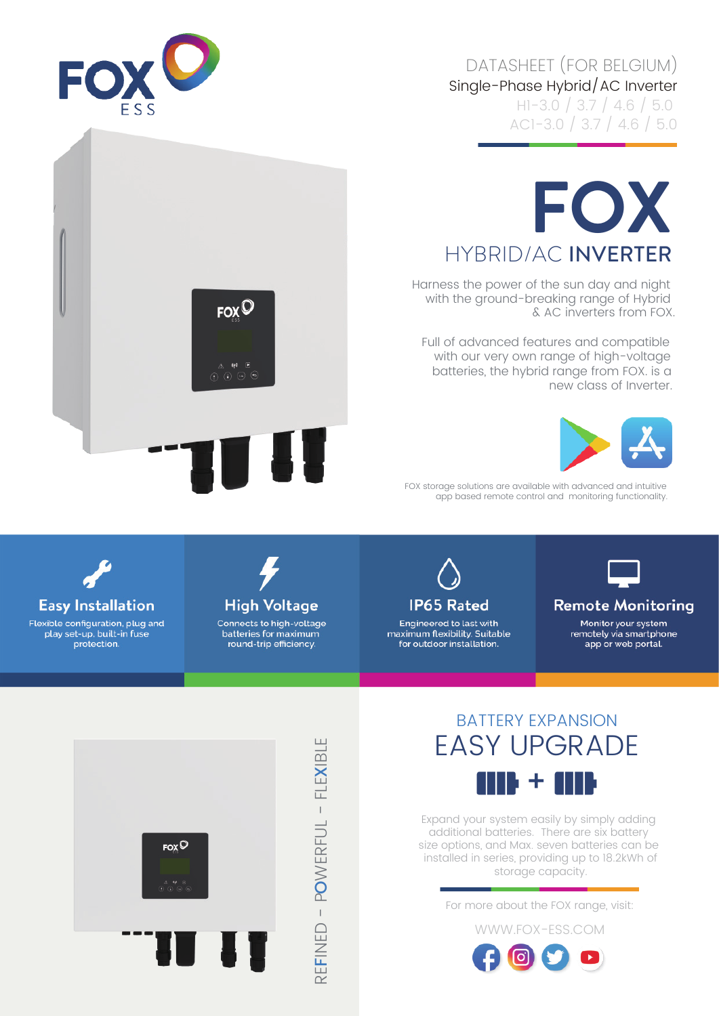## Single-Phase Hybrid/AC Inverter DATASHEET (FOR BELGIUM)

H1-3.0 / 3.7 / 4.6 / 5.0 AC1-3.0 / 3.7 / 4.6 / 5.0





## **FOX** HYBRID/AC INVERTER

Harness the power of the sun day and night with the ground-breaking range of Hybrid & AC inverters from FOX.

Full of advanced features and compatible with our very own range of high-voltage batteries, the hybrid range from FOX. is a new class of Inverter.



FOX storage solutions are available with advanced and intuitive app based remote control and monitoring functionality.



Flexible configuration, plug and play set-up, built-in fuse protection.



Connects to high-voltage batteries for maximum round-trip efficiency.



Engineered to last with maximum flexibility. Suitable for outdoor installation.



**Remote Monitoring** 

Monitor your system remotely via smartphone app or web portal.



 $\sim$ FINED - P OWERFUL - FLE EFINED - POWERFUL - FLEXIBLE

## BATTERY EXPANSION EASY UPGRADE III) + III)

Expand your system easily by simply adding additional batteries. There are six battery size options, and Max. seven batteries can be installed in series, providing up to 18.2kWh of storage capacity.

For more about the FOX range, visit: